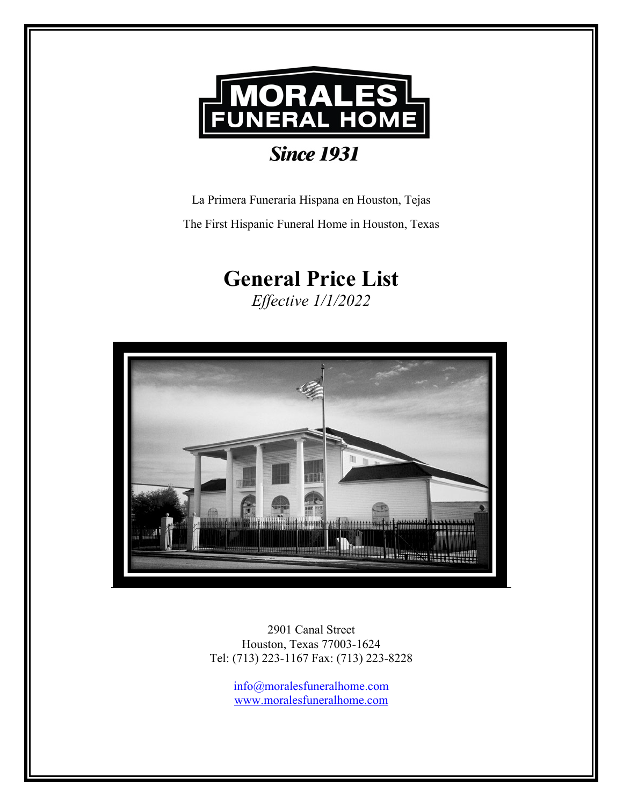

La Primera Funeraria Hispana en Houston, Tejas The First Hispanic Funeral Home in Houston, Texas

# **General Price List**

*Effective 1/1/2022*



2901 Canal Street Houston, Texas 77003-1624 Tel: (713) 223-1167 Fax: (713) 223-8228

> [info@moralesfuneralhome.com](mailto:info@moralesfuneralhome.com) [www.moralesfuneralhome.com](http://www.moralesfuneralhome.com/)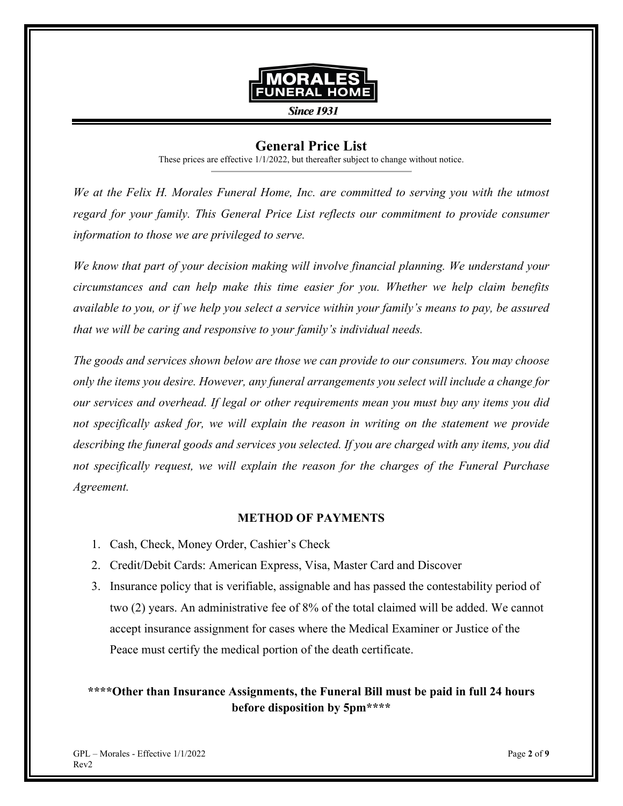

**Since 1931** 

# **General Price List**

These prices are effective 1/1/2022, but thereafter subject to change without notice.

*We at the Felix H. Morales Funeral Home, Inc. are committed to serving you with the utmost*  regard for your family. This General Price List reflects our commitment to provide consumer *information to those we are privileged to serve.* 

*We know that part of your decision making will involve financial planning. We understand your circumstances and can help make this time easier for you. Whether we help claim benefits available to you, or if we help you select a service within your family's means to pay, be assured that we will be caring and responsive to your family's individual needs.* 

*The goods and services shown below are those we can provide to our consumers. You may choose only the items you desire. However, any funeral arrangements you select will include a change for our services and overhead. If legal or other requirements mean you must buy any items you did not specifically asked for, we will explain the reason in writing on the statement we provide describing the funeral goods and services you selected. If you are charged with any items, you did not specifically request, we will explain the reason for the charges of the Funeral Purchase Agreement.* 

### **METHOD OF PAYMENTS**

- 1. Cash, Check, Money Order, Cashier's Check
- 2. Credit/Debit Cards: American Express, Visa, Master Card and Discover
- 3. Insurance policy that is verifiable, assignable and has passed the contestability period of two (2) years. An administrative fee of 8% of the total claimed will be added. We cannot accept insurance assignment for cases where the Medical Examiner or Justice of the Peace must certify the medical portion of the death certificate.

# **\*\*\*\*Other than Insurance Assignments, the Funeral Bill must be paid in full 24 hours before disposition by 5pm\*\*\*\***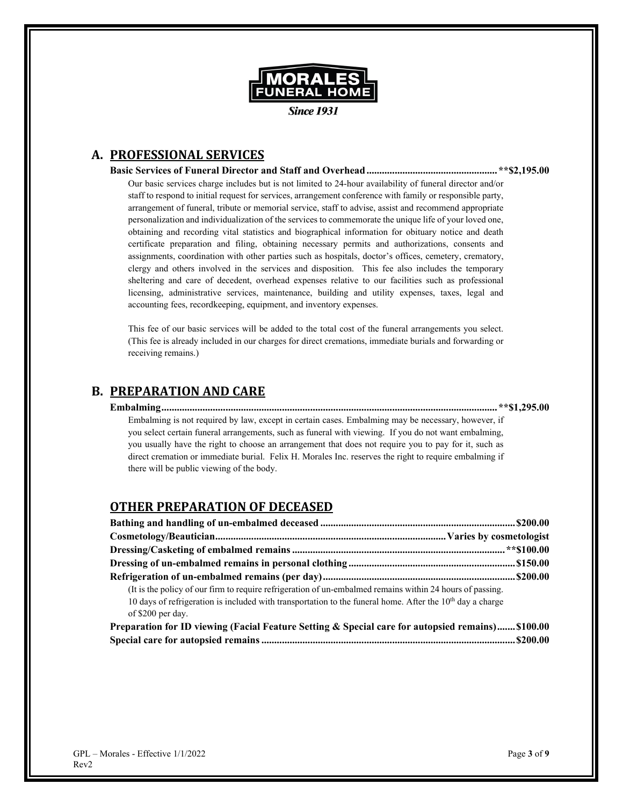

**Since 1931** 

# **A. PROFESSIONAL SERVICES**

**Basic Services of Funeral Director and Staff and Overhead...................................................\*\*\$2,195.00** Our basic services charge includes but is not limited to 24-hour availability of funeral director and/or staff to respond to initial request for services, arrangement conference with family or responsible party, arrangement of funeral, tribute or memorial service, staff to advise, assist and recommend appropriate personalization and individualization of the services to commemorate the unique life of your loved one, obtaining and recording vital statistics and biographical information for obituary notice and death certificate preparation and filing, obtaining necessary permits and authorizations, consents and assignments, coordination with other parties such as hospitals, doctor's offices, cemetery, crematory, clergy and others involved in the services and disposition. This fee also includes the temporary sheltering and care of decedent, overhead expenses relative to our facilities such as professional licensing, administrative services, maintenance, building and utility expenses, taxes, legal and accounting fees, recordkeeping, equipment, and inventory expenses.

This fee of our basic services will be added to the total cost of the funeral arrangements you select. (This fee is already included in our charges for direct cremations, immediate burials and forwarding or receiving remains.)

## **B. PREPARATION AND CARE**

**Embalming................................................................................................................................... \*\*\$1,295.00** Embalming is not required by law, except in certain cases. Embalming may be necessary, however, if you select certain funeral arrangements, such as funeral with viewing. If you do not want embalming, you usually have the right to choose an arrangement that does not require you to pay for it, such as direct cremation or immediate burial. Felix H. Morales Inc. reserves the right to require embalming if there will be public viewing of the body.

## **OTHER PREPARATION OF DECEASED**

| (It is the policy of our firm to require refrigeration of un-embalmed remains within 24 hours of passing.   |  |
|-------------------------------------------------------------------------------------------------------------|--|
| 10 days of refrigeration is included with transportation to the funeral home. After the $10th$ day a charge |  |
| of \$200 per day.                                                                                           |  |
| Preparation for ID viewing (Facial Feature Setting & Special care for autopsied remains) \$100.00           |  |

|  | птераганон юг ть укупів угасіан геаните эсінінд ее эресіан сатетог айнорзіси тепіашэ) ……рибобо |  |
|--|------------------------------------------------------------------------------------------------|--|
|  |                                                                                                |  |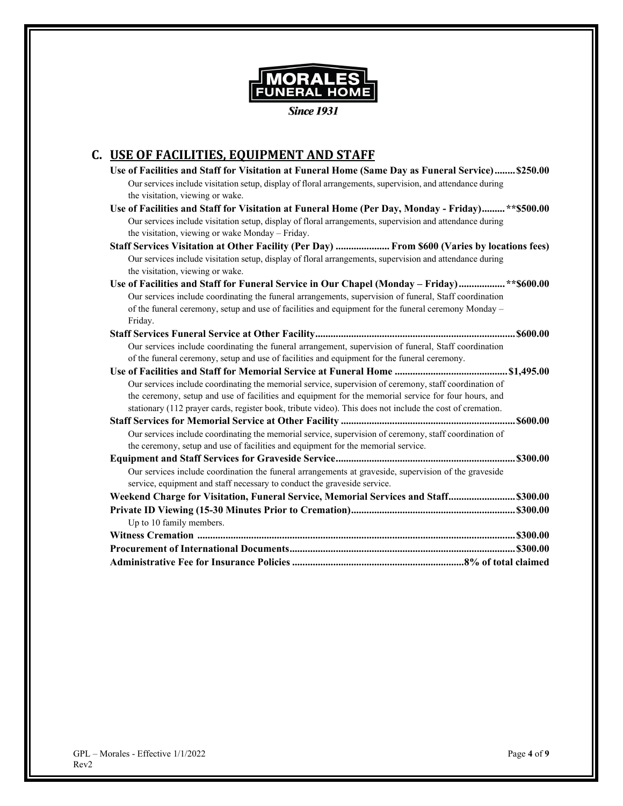

**Since 1931** 

# **C. USE OF FACILITIES, EQUIPMENT AND STAFF**

| Use of Facilities and Staff for Visitation at Funeral Home (Same Day as Funeral Service) \$250.00<br>Our services include visitation setup, display of floral arrangements, supervision, and attendance during |
|----------------------------------------------------------------------------------------------------------------------------------------------------------------------------------------------------------------|
| the visitation, viewing or wake.                                                                                                                                                                               |
| Use of Facilities and Staff for Visitation at Funeral Home (Per Day, Monday - Friday)** \$500.00                                                                                                               |
| Our services include visitation setup, display of floral arrangements, supervision and attendance during                                                                                                       |
| the visitation, viewing or wake Monday - Friday.                                                                                                                                                               |
| Staff Services Visitation at Other Facility (Per Day)  From \$600 (Varies by locations fees)                                                                                                                   |
| Our services include visitation setup, display of floral arrangements, supervision and attendance during                                                                                                       |
| the visitation, viewing or wake.                                                                                                                                                                               |
| Use of Facilities and Staff for Funeral Service in Our Chapel (Monday – Friday)** \$600.00                                                                                                                     |
| Our services include coordinating the funeral arrangements, supervision of funeral, Staff coordination                                                                                                         |
| of the funeral ceremony, setup and use of facilities and equipment for the funeral ceremony Monday -                                                                                                           |
| Friday.                                                                                                                                                                                                        |
|                                                                                                                                                                                                                |
| Our services include coordinating the funeral arrangement, supervision of funeral, Staff coordination                                                                                                          |
| of the funeral ceremony, setup and use of facilities and equipment for the funeral ceremony.                                                                                                                   |
|                                                                                                                                                                                                                |
| Our services include coordinating the memorial service, supervision of ceremony, staff coordination of                                                                                                         |
| the ceremony, setup and use of facilities and equipment for the memorial service for four hours, and                                                                                                           |
| stationary (112 prayer cards, register book, tribute video). This does not include the cost of cremation.                                                                                                      |
|                                                                                                                                                                                                                |
| Our services include coordinating the memorial service, supervision of ceremony, staff coordination of                                                                                                         |
| the ceremony, setup and use of facilities and equipment for the memorial service.                                                                                                                              |
|                                                                                                                                                                                                                |
| Our services include coordination the funeral arrangements at graveside, supervision of the graveside                                                                                                          |
| service, equipment and staff necessary to conduct the graveside service.                                                                                                                                       |
| Weekend Charge for Visitation, Funeral Service, Memorial Services and Staff \$300.00                                                                                                                           |
|                                                                                                                                                                                                                |
| Up to 10 family members.                                                                                                                                                                                       |
|                                                                                                                                                                                                                |
|                                                                                                                                                                                                                |
|                                                                                                                                                                                                                |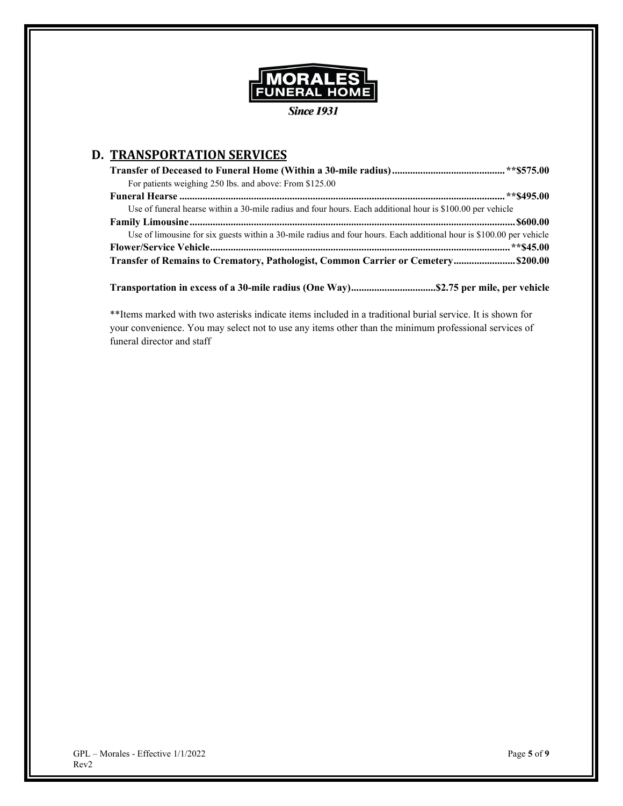

**Since 1931** 

# **D. TRANSPORTATION SERVICES**

| For patients weighing 250 lbs. and above: From \$125.00                                                              |
|----------------------------------------------------------------------------------------------------------------------|
|                                                                                                                      |
| Use of funeral hearse within a 30-mile radius and four hours. Each additional hour is \$100.00 per vehicle           |
|                                                                                                                      |
| Use of limousine for six guests within a 30-mile radius and four hours. Each additional hour is \$100.00 per vehicle |
|                                                                                                                      |
| Transfer of Remains to Crematory, Pathologist, Common Carrier or Cemetery \$200.00                                   |

**Transportation in excess of a 30-mile radius (One Way).................................\$2.75 per mile, per vehicle**

\*\*Items marked with two asterisks indicate items included in a traditional burial service. It is shown for your convenience. You may select not to use any items other than the minimum professional services of funeral director and staff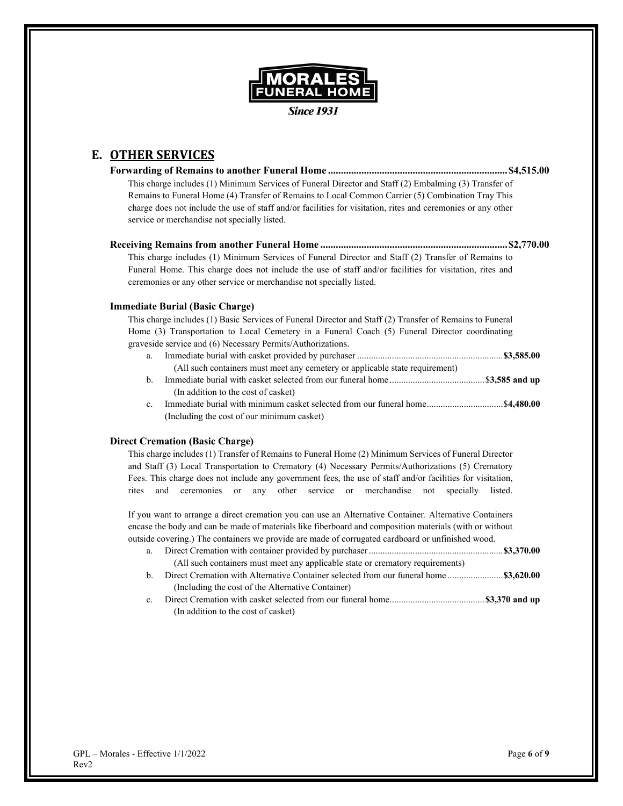

**Since 1931** 

# **E. OTHER SERVICES**

**Forwarding of Remains to another Funeral Home ...................................................................... \$4,515.00** This charge includes (1) Minimum Services of Funeral Director and Staff (2) Embalming (3) Transfer of Remains to Funeral Home (4) Transfer of Remains to Local Common Carrier (5) Combination Tray This charge does not include the use of staff and/or facilities for visitation, rites and ceremonies or any other service or merchandise not specially listed.

#### **Receiving Remains from another Funeral Home ......................................................................... \$2,770.00**

This charge includes (1) Minimum Services of Funeral Director and Staff (2) Transfer of Remains to Funeral Home. This charge does not include the use of staff and/or facilities for visitation, rites and ceremonies or any other service or merchandise not specially listed.

#### **Immediate Burial (Basic Charge)**

This charge includes (1) Basic Services of Funeral Director and Staff (2) Transfer of Remains to Funeral Home (3) Transportation to Local Cemetery in a Funeral Coach (5) Funeral Director coordinating graveside service and (6) Necessary Permits/Authorizations.

- a. Immediate burial with casket provided by purchaser ...............................................................**\$3,585.00** (All such containers must meet any cemetery or applicable state requirement)
- b. Immediate burial with casket selected from our funeral home ......................................... \$**3,585 and up** (In addition to the cost of casket)
- c. Immediate burial with minimum casket selected from our funeral home................................. \$**4,480.00** (Including the cost of our minimum casket)

#### **Direct Cremation (Basic Charge)**

This charge includes (1) Transfer of Remains to Funeral Home (2) Minimum Services of Funeral Director and Staff (3) Local Transportation to Crematory (4) Necessary Permits/Authorizations (5) Crematory Fees. This charge does not include any government fees, the use of staff and/or facilities for visitation, rites and ceremonies or any other service or merchandise not specially listed.

If you want to arrange a direct cremation you can use an Alternative Container. Alternative Containers encase the body and can be made of materials like fiberboard and composition materials (with or without outside covering.) The containers we provide are made of corrugated cardboard or unfinished wood.

- a. Direct Cremation with container provided by purchaser..........................................................**\$3,370.00** (All such containers must meet any applicable state or crematory requirements)
- b. Direct Cremation with Alternative Container selected from our funeral home ........................**\$3,620.00** (Including the cost of the Alternative Container)
- c. Direct Cremation with casket selected from our funeral home.........................................**\$3,370 and up** (In addition to the cost of casket)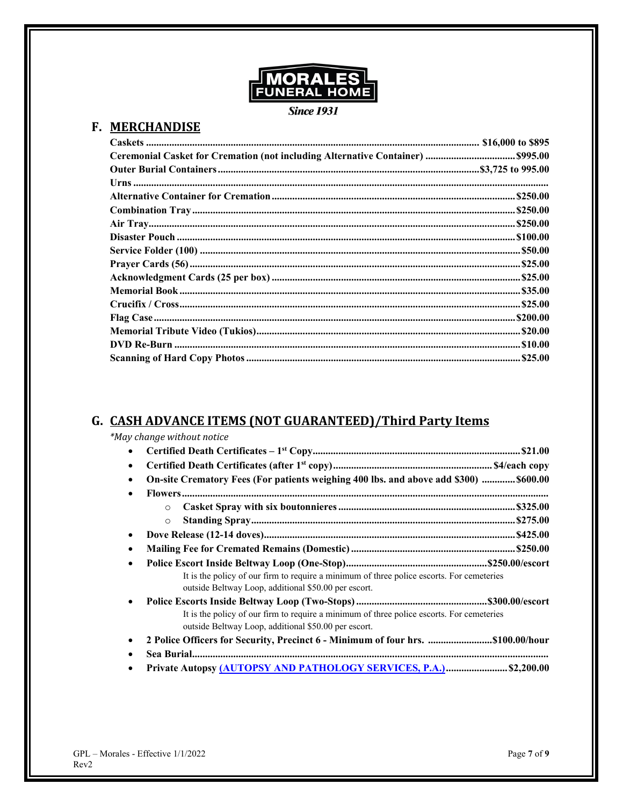

**Since 1931** 

# F. MERCHANDISE

# G. CASH ADVANCE ITEMS (NOT GUARANTEED)/Third Party Items

| *May change without notice                                                                                                                        |  |
|---------------------------------------------------------------------------------------------------------------------------------------------------|--|
| $\bullet$                                                                                                                                         |  |
| $\bullet$                                                                                                                                         |  |
| On-site Crematory Fees (For patients weighing 400 lbs. and above add \$300)  \$600.00<br>$\bullet$                                                |  |
|                                                                                                                                                   |  |
| $\circ$                                                                                                                                           |  |
| $\circ$                                                                                                                                           |  |
| $\bullet$                                                                                                                                         |  |
| $\bullet$                                                                                                                                         |  |
| $\bullet$                                                                                                                                         |  |
| It is the policy of our firm to require a minimum of three police escorts. For cemeteries<br>outside Beltway Loop, additional \$50.00 per escort. |  |
| $\bullet$                                                                                                                                         |  |
| It is the policy of our firm to require a minimum of three police escorts. For cemeteries<br>outside Beltway Loop, additional \$50.00 per escort. |  |
| $\bullet$                                                                                                                                         |  |
|                                                                                                                                                   |  |
| Private Autopsy (AUTOPSY AND PATHOLOGY SERVICES, P.A.) \$2,200.00                                                                                 |  |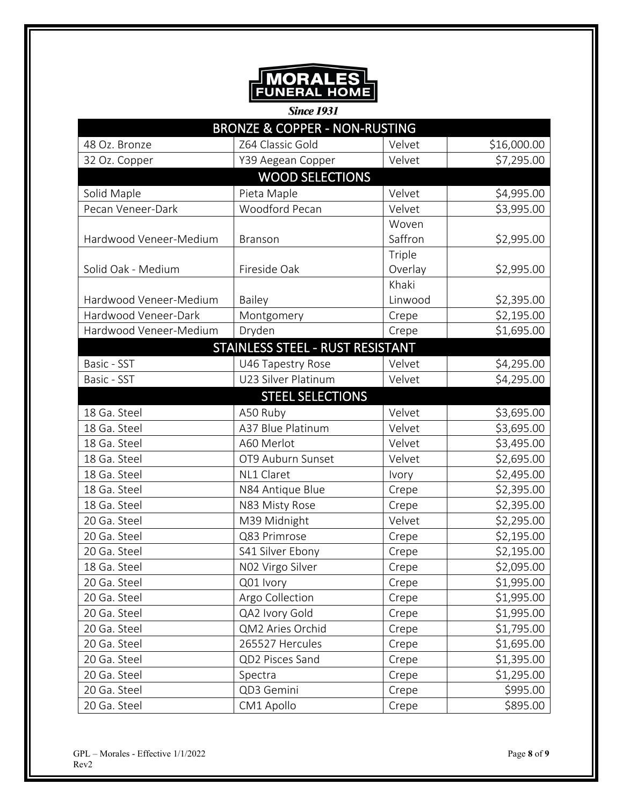

**Since 1931** 

| <b>BRONZE &amp; COPPER - NON-RUSTING</b> |                                  |         |             |  |
|------------------------------------------|----------------------------------|---------|-------------|--|
| 48 Oz. Bronze                            | Z64 Classic Gold                 | Velvet  | \$16,000.00 |  |
| 32 Oz. Copper                            | Y39 Aegean Copper                | Velvet  | \$7,295.00  |  |
|                                          | <b>WOOD SELECTIONS</b>           |         |             |  |
| Solid Maple                              | Pieta Maple                      | Velvet  | \$4,995.00  |  |
| Pecan Veneer-Dark                        | Woodford Pecan                   | Velvet  | \$3,995.00  |  |
|                                          |                                  | Woven   |             |  |
| Hardwood Veneer-Medium                   | Branson                          | Saffron | \$2,995.00  |  |
|                                          |                                  | Triple  |             |  |
| Solid Oak - Medium                       | Fireside Oak                     | Overlay | \$2,995.00  |  |
|                                          |                                  | Khaki   |             |  |
| Hardwood Veneer-Medium                   | Bailey                           | Linwood | \$2,395.00  |  |
| Hardwood Veneer-Dark                     | Montgomery                       | Crepe   | \$2,195.00  |  |
| Hardwood Veneer-Medium                   | Dryden                           | Crepe   | \$1,695.00  |  |
|                                          | STAINLESS STEEL - RUST RESISTANT |         |             |  |
| Basic - SST                              | U46 Tapestry Rose                | Velvet  | \$4,295.00  |  |
| Basic - SST                              | U23 Silver Platinum              | Velvet  | \$4,295.00  |  |
|                                          | <b>STEEL SELECTIONS</b>          |         |             |  |
| 18 Ga. Steel                             | A50 Ruby                         | Velvet  | \$3,695.00  |  |
| 18 Ga. Steel                             | A37 Blue Platinum                | Velvet  | \$3,695.00  |  |
| 18 Ga. Steel                             | A60 Merlot                       | Velvet  | \$3,495.00  |  |
| 18 Ga. Steel                             | OT9 Auburn Sunset                | Velvet  | \$2,695.00  |  |
| 18 Ga. Steel                             | NL1 Claret                       | Ivory   | \$2,495.00  |  |
| 18 Ga. Steel                             | N84 Antique Blue                 | Crepe   | \$2,395.00  |  |
| 18 Ga. Steel                             | N83 Misty Rose                   | Crepe   | \$2,395.00  |  |
| 20 Ga. Steel                             | M39 Midnight                     | Velvet  | \$2,295.00  |  |
| 20 Ga. Steel                             | Q83 Primrose                     | Crepe   | \$2,195.00  |  |
| 20 Ga. Steel                             | S41 Silver Ebony                 | Crepe   | \$2,195.00  |  |
| 18 Ga. Steel                             | NO <sub>2</sub> Virgo Silver     | Crepe   | \$2,095.00  |  |
| 20 Ga. Steel                             | Q01 Ivory                        | Crepe   | \$1,995.00  |  |
| 20 Ga. Steel                             | Argo Collection                  | Crepe   | \$1,995.00  |  |
| 20 Ga. Steel                             | QA2 Ivory Gold                   | Crepe   | \$1,995.00  |  |
| 20 Ga. Steel                             | QM2 Aries Orchid                 | Crepe   | \$1,795.00  |  |
| 20 Ga. Steel                             | 265527 Hercules                  | Crepe   | \$1,695.00  |  |
| 20 Ga. Steel                             | QD2 Pisces Sand                  | Crepe   | \$1,395.00  |  |
| 20 Ga. Steel                             | Spectra                          | Crepe   | \$1,295.00  |  |
| 20 Ga. Steel                             | QD3 Gemini                       | Crepe   | \$995.00    |  |
| 20 Ga. Steel                             | CM1 Apollo                       | Crepe   | \$895.00    |  |